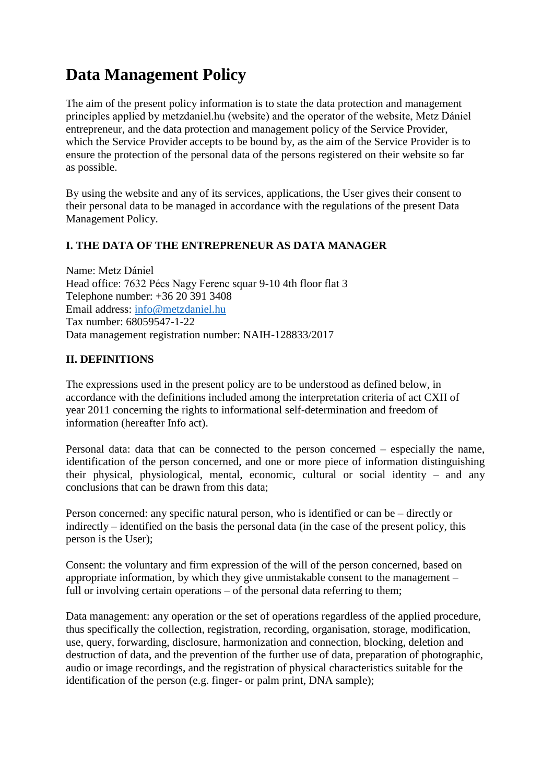# **Data Management Policy**

The aim of the present policy information is to state the data protection and management principles applied by metzdaniel.hu (website) and the operator of the website, Metz Dániel entrepreneur, and the data protection and management policy of the Service Provider, which the Service Provider accepts to be bound by, as the aim of the Service Provider is to ensure the protection of the personal data of the persons registered on their website so far as possible.

By using the website and any of its services, applications, the User gives their consent to their personal data to be managed in accordance with the regulations of the present Data Management Policy.

### **I. THE DATA OF THE ENTREPRENEUR AS DATA MANAGER**

Name: Metz Dániel Head office: 7632 Pécs Nagy Ferenc squar 9-10 4th floor flat 3 Telephone number: +36 20 391 3408 Email address: [info@metzdaniel.hu](mailto:info@metzdaniel.hu) Tax number: 68059547-1-22 Data management registration number: NAIH-128833/2017

#### **II. DEFINITIONS**

The expressions used in the present policy are to be understood as defined below, in accordance with the definitions included among the interpretation criteria of act CXII of year 2011 concerning the rights to informational self-determination and freedom of information (hereafter Info act).

Personal data: data that can be connected to the person concerned – especially the name, identification of the person concerned, and one or more piece of information distinguishing their physical, physiological, mental, economic, cultural or social identity – and any conclusions that can be drawn from this data;

Person concerned: any specific natural person, who is identified or can be – directly or indirectly – identified on the basis the personal data (in the case of the present policy, this person is the User);

Consent: the voluntary and firm expression of the will of the person concerned, based on appropriate information, by which they give unmistakable consent to the management – full or involving certain operations – of the personal data referring to them;

Data management: any operation or the set of operations regardless of the applied procedure, thus specifically the collection, registration, recording, organisation, storage, modification, use, query, forwarding, disclosure, harmonization and connection, blocking, deletion and destruction of data, and the prevention of the further use of data, preparation of photographic, audio or image recordings, and the registration of physical characteristics suitable for the identification of the person (e.g. finger- or palm print, DNA sample);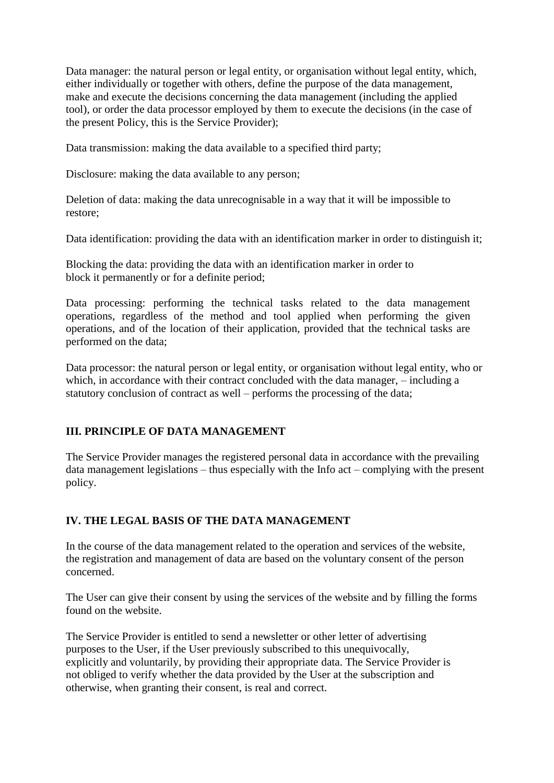Data manager: the natural person or legal entity, or organisation without legal entity, which, either individually or together with others, define the purpose of the data management, make and execute the decisions concerning the data management (including the applied tool), or order the data processor employed by them to execute the decisions (in the case of the present Policy, this is the Service Provider);

Data transmission: making the data available to a specified third party;

Disclosure: making the data available to any person;

Deletion of data: making the data unrecognisable in a way that it will be impossible to restore;

Data identification: providing the data with an identification marker in order to distinguish it;

Blocking the data: providing the data with an identification marker in order to block it permanently or for a definite period;

Data processing: performing the technical tasks related to the data management operations, regardless of the method and tool applied when performing the given operations, and of the location of their application, provided that the technical tasks are performed on the data;

Data processor: the natural person or legal entity, or organisation without legal entity, who or which, in accordance with their contract concluded with the data manager, – including a statutory conclusion of contract as well – performs the processing of the data;

# **III. PRINCIPLE OF DATA MANAGEMENT**

The Service Provider manages the registered personal data in accordance with the prevailing data management legislations – thus especially with the Info act – complying with the present policy.

### **IV. THE LEGAL BASIS OF THE DATA MANAGEMENT**

In the course of the data management related to the operation and services of the website, the registration and management of data are based on the voluntary consent of the person concerned.

The User can give their consent by using the services of the website and by filling the forms found on the website.

The Service Provider is entitled to send a newsletter or other letter of advertising purposes to the User, if the User previously subscribed to this unequivocally, explicitly and voluntarily, by providing their appropriate data. The Service Provider is not obliged to verify whether the data provided by the User at the subscription and otherwise, when granting their consent, is real and correct.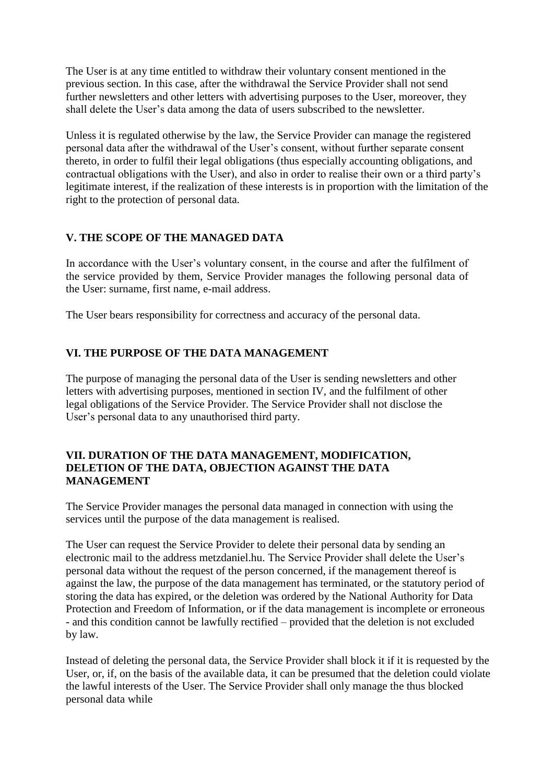The User is at any time entitled to withdraw their voluntary consent mentioned in the previous section. In this case, after the withdrawal the Service Provider shall not send further newsletters and other letters with advertising purposes to the User, moreover, they shall delete the User's data among the data of users subscribed to the newsletter.

Unless it is regulated otherwise by the law, the Service Provider can manage the registered personal data after the withdrawal of the User's consent, without further separate consent thereto, in order to fulfil their legal obligations (thus especially accounting obligations, and contractual obligations with the User), and also in order to realise their own or a third party's legitimate interest, if the realization of these interests is in proportion with the limitation of the right to the protection of personal data.

## **V. THE SCOPE OF THE MANAGED DATA**

In accordance with the User's voluntary consent, in the course and after the fulfilment of the service provided by them, Service Provider manages the following personal data of the User: surname, first name, e-mail address.

The User bears responsibility for correctness and accuracy of the personal data.

### **VI. THE PURPOSE OF THE DATA MANAGEMENT**

The purpose of managing the personal data of the User is sending newsletters and other letters with advertising purposes, mentioned in section IV, and the fulfilment of other legal obligations of the Service Provider. The Service Provider shall not disclose the User's personal data to any unauthorised third party.

#### **VII. DURATION OF THE DATA MANAGEMENT, MODIFICATION, DELETION OF THE DATA, OBJECTION AGAINST THE DATA MANAGEMENT**

The Service Provider manages the personal data managed in connection with using the services until the purpose of the data management is realised.

The User can request the Service Provider to delete their personal data by sending an electronic mail to the address metzdaniel.hu. The Service Provider shall delete the User's personal data without the request of the person concerned, if the management thereof is against the law, the purpose of the data management has terminated, or the statutory period of storing the data has expired, or the deletion was ordered by the National Authority for Data Protection and Freedom of Information, or if the data management is incomplete or erroneous - and this condition cannot be lawfully rectified – provided that the deletion is not excluded by law.

Instead of deleting the personal data, the Service Provider shall block it if it is requested by the User, or, if, on the basis of the available data, it can be presumed that the deletion could violate the lawful interests of the User. The Service Provider shall only manage the thus blocked personal data while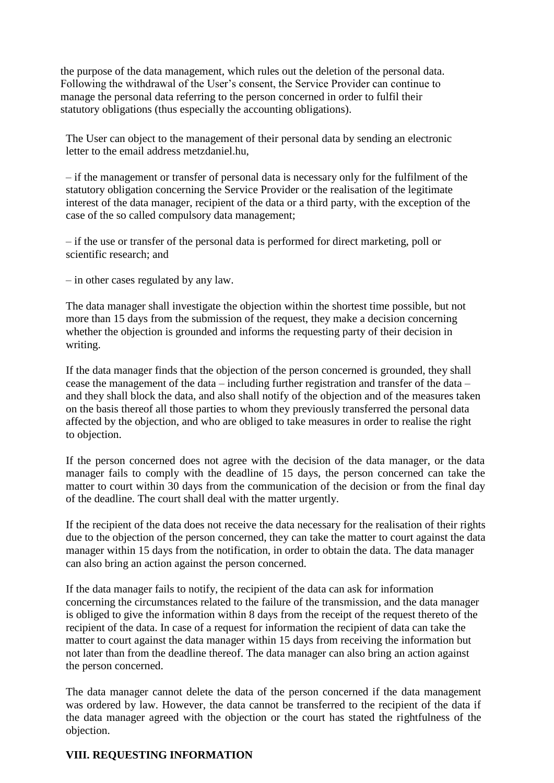the purpose of the data management, which rules out the deletion of the personal data. Following the withdrawal of the User's consent, the Service Provider can continue to manage the personal data referring to the person concerned in order to fulfil their statutory obligations (thus especially the accounting obligations).

The User can object to the management of their personal data by sending an electronic letter to the email address metzdaniel.hu,

– if the management or transfer of personal data is necessary only for the fulfilment of the statutory obligation concerning the Service Provider or the realisation of the legitimate interest of the data manager, recipient of the data or a third party, with the exception of the case of the so called compulsory data management;

– if the use or transfer of the personal data is performed for direct marketing, poll or scientific research; and

– in other cases regulated by any law.

The data manager shall investigate the objection within the shortest time possible, but not more than 15 days from the submission of the request, they make a decision concerning whether the objection is grounded and informs the requesting party of their decision in writing.

If the data manager finds that the objection of the person concerned is grounded, they shall cease the management of the data – including further registration and transfer of the data – and they shall block the data, and also shall notify of the objection and of the measures taken on the basis thereof all those parties to whom they previously transferred the personal data affected by the objection, and who are obliged to take measures in order to realise the right to objection.

If the person concerned does not agree with the decision of the data manager, or the data manager fails to comply with the deadline of 15 days, the person concerned can take the matter to court within 30 days from the communication of the decision or from the final day of the deadline. The court shall deal with the matter urgently.

If the recipient of the data does not receive the data necessary for the realisation of their rights due to the objection of the person concerned, they can take the matter to court against the data manager within 15 days from the notification, in order to obtain the data. The data manager can also bring an action against the person concerned.

If the data manager fails to notify, the recipient of the data can ask for information concerning the circumstances related to the failure of the transmission, and the data manager is obliged to give the information within 8 days from the receipt of the request thereto of the recipient of the data. In case of a request for information the recipient of data can take the matter to court against the data manager within 15 days from receiving the information but not later than from the deadline thereof. The data manager can also bring an action against the person concerned.

The data manager cannot delete the data of the person concerned if the data management was ordered by law. However, the data cannot be transferred to the recipient of the data if the data manager agreed with the objection or the court has stated the rightfulness of the objection.

#### **VIII. REQUESTING INFORMATION**